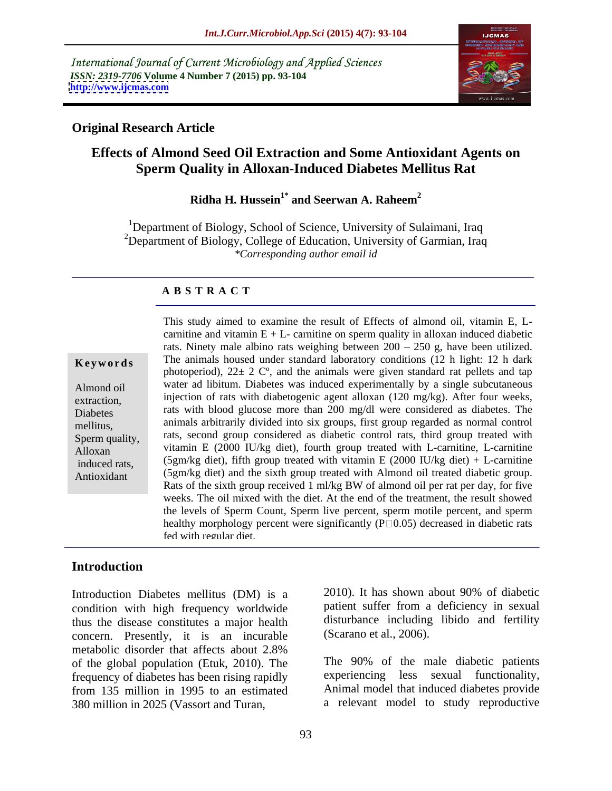International Journal of Current Microbiology and Applied Sciences *ISSN: 2319-7706* **Volume 4 Number 7 (2015) pp. 93-104 <http://www.ijcmas.com>**



### **Original Research Article**

# **Effects of Almond Seed Oil Extraction and Some Antioxidant Agents on Sperm Quality in Alloxan-Induced Diabetes Mellitus Rat**

**Ridha H. Hussein1\* and Seerwan A. Raheem<sup>2</sup>**

<sup>1</sup>Department of Biology, School of Science, University of Sulaimani, Iraq <sup>2</sup>Department of Biology, College of Education, University of Garmian, Iraq *\*Corresponding author email id*

### **A B S T R A C T**

Antioxidant

This study aimed to examine the result of Effects of almond oil, vitamin E, L carnitine and vitamin  $E + L$ - carnitine on sperm quality in alloxan induced diabetic rats. Ninety male albino rats weighing between  $200 - 250$  g, have been utilized. **Keywords** The animals housed under standard laboratory conditions (12 h light: 12 h dark photoperiod),  $22 \pm 2$  C°, and the animals were given standard rat pellets and tap water ad libitum. Diabetes was induced experimentally by a single subcutaneous Almond oil extraction, injection of rats with diabetogenic agent alloxan  $(120 \text{ mg/kg})$ . After four weeks, Diabetes rats with blood glucose more than 200 mg/dl were considered as diabetes. The animals arbitrarily divided into six groups, first group regarded as normal control mellitus, Sperm quality, rats, second group considered as diabetic control rats, third group treated with Alloxan vitamin E (2000 IU/kg diet), fourth group treated with L-carnitine, L-carnitine induced rats,  $(5gm/kg$  diet), fifth group treated with vitamin E  $(2000 \text{ IU/kg}$  diet) + L-carnitine (5gm/kg diet) and the sixth group treated with Almond oil treated diabetic group. Rats of the sixth group received 1 ml/kg BW of almond oil per rat per day, for five weeks. The oil mixed with the diet. At the end of the treatment, the result showed the levels of Sperm Count, Sperm live percent, sperm motile percent, and sperm healthy morphology percent were significantly  $(P \Box 0.05)$  decreased in diabetic rats fed with regular diet.

## **Introduction**

Introduction Diabetes mellitus (DM) is a 2010). It has shown about 90% of diabetic condition with high frequency worldwide thus the disease constitutes a major health concern. Presently, it is an incurable metabolic disorder that affects about 2.8% of the global population (Etuk, 2010). The frequency of diabetes has been rising rapidly from 135 million in 1995 to an estimated 380 million in 2025 (Vassort and Turan,

2010). It has shown about 90% of diabetic patient suffer from a deficiency in sexual disturbance including libido and fertility (Scarano et al., 2006).

The 90% of the male diabetic patients experiencing less sexual functionality, Animal model that induced diabetes provide a relevant model to study reproductive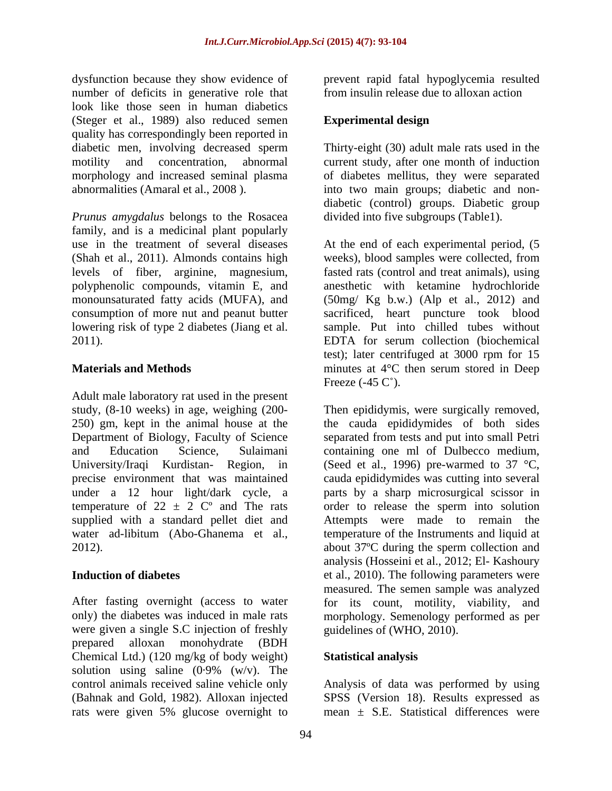dysfunction because they show evidence of prevent rapid fatal hypoglycemia resulted number of deficits in generative role that look like those seen in human diabetics (Steger et al., 1989) also reduced semen<br> **Experimental design** quality has correspondingly been reported in

*Prunus amygdalus* belongs to the Rosacea family, and is a medicinal plant popularly use in the treatment of several diseases At the end of each experimental period, (5 (Shah et al., 2011). Almonds contains high weeks), blood samples were collected, from levels of fiber, arginine, magnesium, fasted rats (control and treat animals), using polyphenolic compounds, vitamin E, and anesthetic with ketamine hydrochloride monounsaturated fatty acids (MUFA), and (50mg/ Kg b.w.) (Alp et al., 2012) and consumption of more nut and peanut butter sacrificed, heart puncture took blood lowering risk of type 2 diabetes (Jiang et al. 2011). EDTA for serum collection (biochemical

Adult male laboratory rat used in the present temperature of  $22 \pm 2$  C° and The rats

After fasting overnight (access to water were given a single S.C injection of freshly prepared alloxan monohydrate (BDH Chemical Ltd.) (120 mg/kg of body weight) solution using saline (0·9% (w/v). The control animals received saline vehicle only Analysis of data was performed by using (Bahnak and Gold, 1982). Alloxan injected SPSS (Version 18). Results expressed as rats were given 5% glucose overnight to mean  $\pm$  S.E. Statistical differences were

from insulin release due to alloxan action

## **Experimental design**

diabetic men, involving decreased sperm Thirty-eight (30) adult male rats used in the motility and concentration, abnormal current study, after one month of induction morphology and increased seminal plasma bordiabetes mellitus, they were separated abnormalities (Amaral et al., 2008 ). into two main groups; diabetic and non diabetic (control) groups. Diabetic group divided into five subgroups (Table1).

**Materials and Methods minutes** at 4<sup>°</sup>C then serum stored in Deep sample. Put into chilled tubes without EDTA for serum collection (biochemical test); later centrifuged at 3000 rpm for 15 Freeze  $(-45 \, \mathrm{C}^{\circ}).$ 

study, (8-10 weeks) in age, weighing (200- Then epididymis, were surgically removed, 250) gm, kept in the animal house at the the cauda epididymides of both sides Department of Biology, Faculty of Science separated from tests and put into small Petri and Education Science, Sulaimani containing one ml of Dulbecco medium, University/Iraqi Kurdistan- Region, in (Seed et al., 1996) pre-warmed to 37 °C, precise environment that was maintained cauda epididymides was cutting into several under a 12 hour light/dark cycle, a parts by a sharp microsurgical scissor in supplied with a standard pellet diet and Attempts were made to remain the water ad-libitum (Abo-Ghanema et al., temperature of the Instruments and liquid at 2012). about 37ºC during the sperm collection and **Induction of diabetes** et al., 2010). The following parameters were only) the diabetes was induced in male rats morphology. Semenology performed as per order to release the sperm into solution analysis (Hosseini et al., 2012; El- Kashoury measured. The semen sample was analyzed for its count, motility, viability, and guidelines of (WHO, 2010).

## **Statistical analysis**

mean  $+$  S.E. Statistical differences were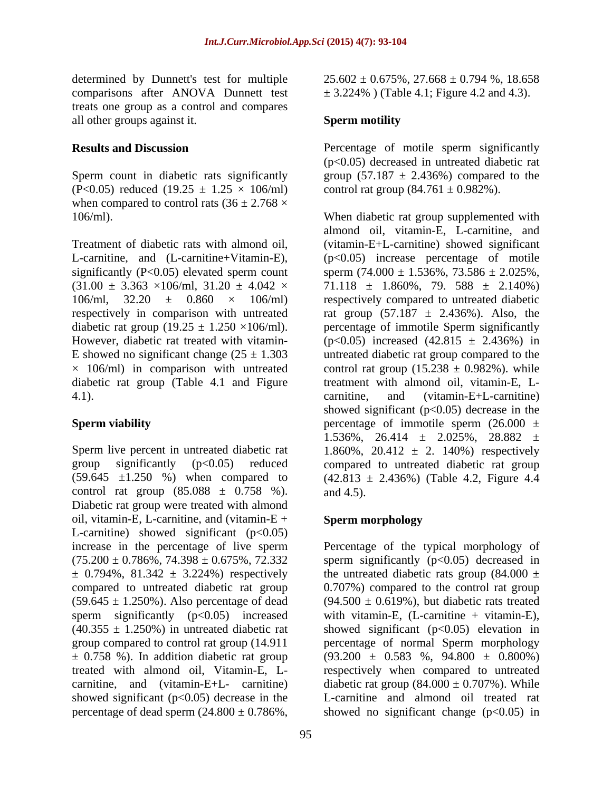comparisons after ANOVA Dunnett test treats one group as a control and compares all other groups against it.

(P<0.05) reduced (19.25  $\pm$  1.25  $\times$  106/ml) when compared to control rats  $(36 \pm 2.768 \times$ 

diabetic rat group (Table 4.1 and Figure 4.1). carnitine, and (vitamin-E+L-carnitine)

control rat group  $(85.088 \pm 0.758 \%)$ . and 4.5). Diabetic rat group were treated with almond oil, vitamin-E, L-carnitine, and (vitamin-E + Sperm morphology L-carnitine) showed significant  $(p<0.05)$ percentage of dead sperm  $(24.800 \pm 0.786\%$ ,

determined by Dunnett's test for multiple  $25.602 \pm 0.675\%$ ,  $27.668 \pm 0.794\%$ , 18.658  $\pm$  3.224%) (Table 4.1; Figure 4.2 and 4.3).

### **Sperm motility**

**Results and Discussion** Percentage of motile sperm significantly Sperm count in diabetic rats significantly group  $(57.187 \pm 2.436\%)$  compared to the (p<0.05) decreased in untreated diabetic rat control rat group  $(84.761 \pm 0.982\%)$ .

106/ml). When diabetic rat group supplemented with Treatment of diabetic rats with almond oil, (vitamin-E+L-carnitine) showed significant L-carnitine, and (L-carnitine+Vitamin-E),  $(p<0.05)$  increase percentage of motile significantly (P<0.05) elevated sperm count sperm  $(74.000 \pm 1.536\%, 73.586 \pm 2.025\%,$  $(31.00 \pm 3.363 \times 106 \text{/ml}, 31.20 \pm 4.042 \times 71.118 \pm 1.860\%), 79.588 \pm 2.140\%)$ 106/ml,  $32.20 \pm 0.860 \times 106$ /ml) respectively compared to untreated diabetic respectively in comparison with untreated rat group  $(57.187 \pm 2.436\%)$ . Also, the diabetic rat group (19.25  $\pm$  1.250  $\times$ 106/ml). percentage of immotile Sperm significantly However, diabetic rat treated with vitamin-  $(p<0.05)$  increased  $(42.815 \pm 2.436%)$  in E showed no significant change  $(25 \pm 1.303)$  untreated diabetic rat group compared to the  $\times$  106/ml) in comparison with untreated control rat group (15.238  $\pm$  0.982%). while **Sperm viability Sperm viability percentage of immotile sperm** (26.000  $\pm$ Sperm live percent in untreated diabetic rat  $1.860\%$ ,  $20.412 \pm 2.140\%$  respectively group significantly (p<0.05) reduced compared to untreated diabetic rat group  $(59.645 \pm 1.250 \%)$  when compared to  $(42.813 \pm 2.436\%)$  (Table 4.2, Figure 4.4 almond oil, vitamin-E, L-carnitine, and treatment with almond oil, vitamin-E, L carnitine, and (vitamin-E+L-carnitine) showed significant  $(p<0.05)$  decrease in the 1.536%, 26.414  $\pm$  2.025%, 28.882  $\pm$ and 4.5).

## **Sperm morphology**

increase in the percentage of live sperm Percentage of the typical morphology of  $(75.200 \pm 0.786\%, 74.398 \pm 0.675\%, 72.332$  sperm significantly (p<0.05) decreased in  $\pm$  0.794%, 81.342  $\pm$  3.224%) respectively the untreated diabetic rats group (84.000  $\pm$ compared to untreated diabetic rat group 0.707%) compared to the control rat group  $(59.645 \pm 1.250\%)$ . Also percentage of dead  $(94.500 \pm 0.619\%)$ , but diabetic rats treated sperm significantly (p<0.05) increased with vitamin-E, (L-carnitine + vitamin-E),  $(40.355 \pm 1.250%)$  in untreated diabetic rat showed significant  $(p<0.05)$  elevation in group compared to control rat group (14.911 percentage of normal Sperm morphology  $\pm$  0.758 %). In addition diabetic rat group (93.200  $\pm$  0.583 %, 94.800  $\pm$  0.800%) treated with almond oil, Vitamin-E, L- respectively when compared to untreated carnitine, and (vitamin-E+L- carnitine) diabetic rat group  $(84.000 \pm 0.707\%)$ . While showed significant (p<0.05) decrease in the L-carnitine and almond oil treated rat showed no significant change  $(p<0.05)$  in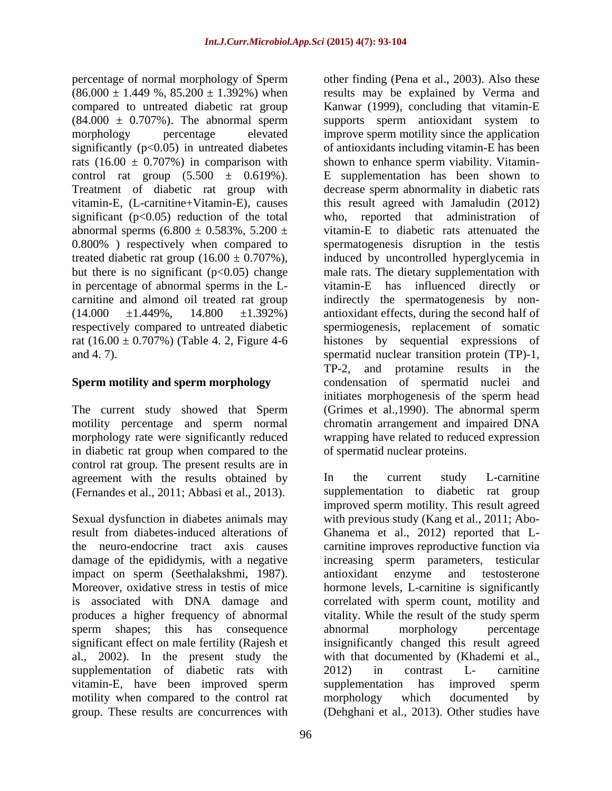percentage of normal morphology of Sperm significantly  $(p<0.05)$  in untreated diabetes rats (16.00  $\pm$  0.707%) in comparison with shown to enhance sperm viability. Vitamincontrol rat group  $(5.500 \pm 0.619\%)$ . E supplementation has been shown to significant  $(p<0.05)$  reduction of the total who, abnormal sperms  $(6.800 \pm 0.583\%, 5.200 \pm 0.583\%)$ 0.800% ) respectively when compared to

# **Sperm motility and sperm morphology**

The current study showed that Sperm motility percentage and sperm normal in diabetic rat group when compared to the control rat group. The present results are in agreement with the results obtained by In the current study L-carnitine (Fernandes et al., 2011; Abbasi et al., 2013).

impact on sperm (Seethalakshmi, 1987). antioxidant enzyme and testosterone sperm shapes; this has consequence abnormal morphology percentage supplementation of diabetic rats with 2012) in contrast L- carnitine vitamin-E, have been improved sperm motility when compared to the control rat morphology which documented by

 $(86.000 \pm 1.449 \%)$ ,  $85.200 \pm 1.392\%)$  when results may be explained by Verma and compared to untreated diabetic rat group Kanwar (1999), concluding that vitamin-E  $(84.000 \pm 0.707\%)$ . The abnormal sperm supports sperm antioxidant system to morphology percentage elevated improve sperm motility since the application Treatment of diabetic rat group with decrease sperm abnormality in diabetic rats vitamin-E, (L-carnitine+Vitamin-E), causes this result agreed with Jamaludin (2012) treated diabetic rat group  $(16.00 \pm 0.707\%)$ , induced by uncontrolled hyperglycemia in but there is no significant (p<0.05) change male rats. The dietary supplementation with in percentage of abnormal sperms in the L- vitamin-E has influenced directly or carnitine and almond oil treated rat group indirectly the spermatogenesis by non-  $(14.000 \pm 1.449\%, \quad 14.800 \pm 1.392\%)$  antioxidant effects, during the second half of respectively compared to untreated diabetic spermiogenesis, replacement of somatic rat (16.00 ± 0.707%) (Table 4. 2, Figure 4-6 histones by sequential expressions of and 4. 7). spermatid nuclear transition protein (TP)-1, morphology rate were significantly reduced wrapping have related to reduced expression other finding (Pena et al., 2003). Also these of antioxidants including vitamin-E has been shown to enhance sperm viability. Vitamin-E supplementation has been shown to reported that administration of vitamin-E to diabetic rats attenuated the spermatogenesis disruption in the testis TP-2, and protamine results in the condensation of spermatid nuclei and initiates morphogenesis of the sperm head (Grimes et al.,1990). The abnormal sperm chromatin arrangement and impaired DNA of spermatid nuclear proteins.

Sexual dysfunction in diabetes animals may with previous study (Kang et al., 2011; Abo result from diabetes-induced alterations of Ghanema et al., 2012) reported that L the neuro-endocrine tract axis causes carnitine improves reproductive function via damage of the epididymis, with a negative increasing sperm parameters, testicular Moreover, oxidative stress in testis of mice hormone levels, L-carnitine is significantly is associated with DNA damage and correlated with sperm count, motility and produces a higher frequency of abnormal vitality. While the result of the study sperm significant effect on male fertility (Rajesh et insignificantly changed this result agreed al., 2002). In the present study the with that documented by (Khademi et al., group. These results are concurrences with (Dehghani et al., 2013). Other studies haveIn the current study L-carnitine supplementation to diabetic rat group improved sperm motility. This result agreed antioxidant enzyme and testosterone abnormal morphology percentage 2012) in contrast L- carnitine supplementation has improved sperm morphology which documented by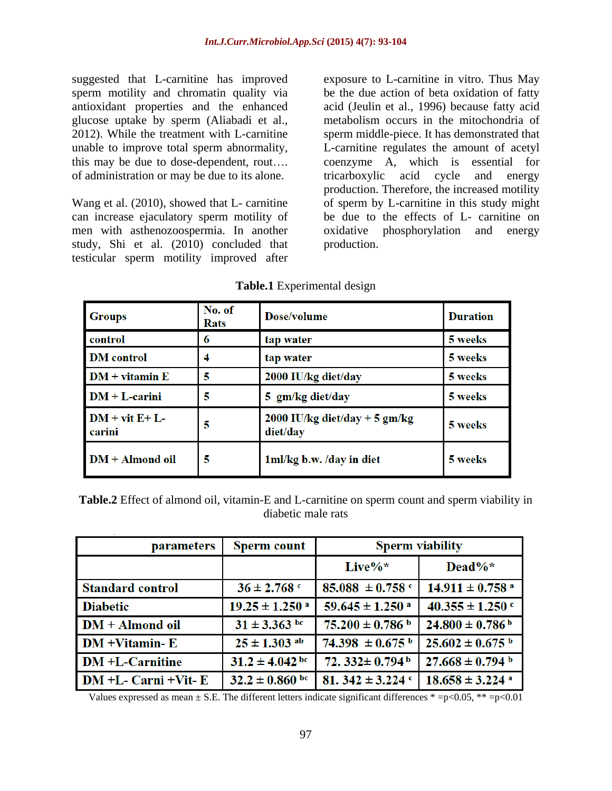suggested that L-carnitine has improved exposure to L-carnitine in vitro. Thus May this may be due to dose-dependent, rout.... coenzyme  $A$ , which is essential for of administration or may be due to its alone. The interval tricarboxylic acid cycle and energy

study, Shi et al. (2010) concluded that production. testicular sperm motility improved after

sperm motility and chromatin quality via be the due action of beta oxidation of fatty antioxidant properties and the enhanced acid (Jeulin et al., 1996) because fatty acid glucose uptake by sperm (Aliabadi et al., metabolism occurs in the mitochondria of 2012). While the treatment with L-carnitine sperm middle-piece. It has demonstrated that unable to improve total sperm abnormality, L-carnitine regulates the amount of acetyl Wang et al. (2010), showed that L- carnitine of sperm by L-carnitine in this study might can increase ejaculatory sperm motility of be due to the effects of L- carnitine on men with asthenozoospermia. In another oxidative phosphorylation and energy coenzyme A, which is essential tricarboxylic acid cycle and energy production. Therefore, the increased motility production.

| <b>Groups</b>             | No. of<br><b>Rats</b> | Dose/volume                               | <b>Duration</b> |
|---------------------------|-----------------------|-------------------------------------------|-----------------|
| control                   | 6                     | tap water                                 | 5 weeks         |
| <b>DM</b> control         | 4                     | tap water                                 | 5 weeks         |
| $DM + vitamin E$          | 5                     | 2000 IU/kg diet/day                       | 5 weeks         |
| $DM + L$ -carini          | 5                     | 5 gm/kg diet/day                          | 5 weeks         |
| $DM + vit E+ L$<br>carini | 5                     | 2000 IU/kg diet/day + 5 gm/kg<br>diet/day | 5 weeks         |
| $DM + Almond$ oil         | 5                     | 1ml/kg b.w. /day in diet                  | 5 weeks         |

### **Table.1** Experimental design

**Table.2** Effect of almond oil, vitamin-E and L-carnitine on sperm count and sperm viability in diabetic male rats of the state of the state of the state of the state of the state of the state of the state of the state of the state of the state of the state of the state of the state of the state of the state of the s

| <b>parameters</b>          | <b>Sperm count</b>             | <b>Sperm viability</b>           |                                 |
|----------------------------|--------------------------------|----------------------------------|---------------------------------|
|                            |                                | Live $\%*$                       | $Dead\%*$                       |
| <b>Standard control</b>    | $36 \pm 2.768$ c               | $85.088 \pm 0.758$ c             | $14.911 \pm 0.758$ <sup>a</sup> |
| <b>Diabetic</b>            | $19.25 \pm 1.250$ <sup>a</sup> | $59.645 \pm 1.250$ <sup>a</sup>  | $40.355 \pm 1.250$ c            |
| DM + Almond oil            | $31 \pm 3.363$ bc              | $75.200 \pm 0.786$ b             | $24.800 \pm 0.786$ <sup>b</sup> |
| $DM + Vitamin - E$         | $25 \pm 1.303$ ab              | $74.398 \pm 0.675$ b             | $25.602 \pm 0.675$ b            |
| <b>DM</b> +L-Carnitine     | $31.2 \pm 4.042$ bc            | 72. $332 \pm 0.794$ <sup>b</sup> | $27.668 \pm 0.794$ b            |
| $DM + L$ - Carni + Vit - E | $32.2 \pm 0.860$ bc            | 81. $342 \pm 3.224$ c            | $18.658 \pm 3.224$ <sup>a</sup> |

Values expressed as mean  $\pm$  S.E. The different letters indicate significant differences  $* = p < 0.05$ ,  $** = p < 0.01$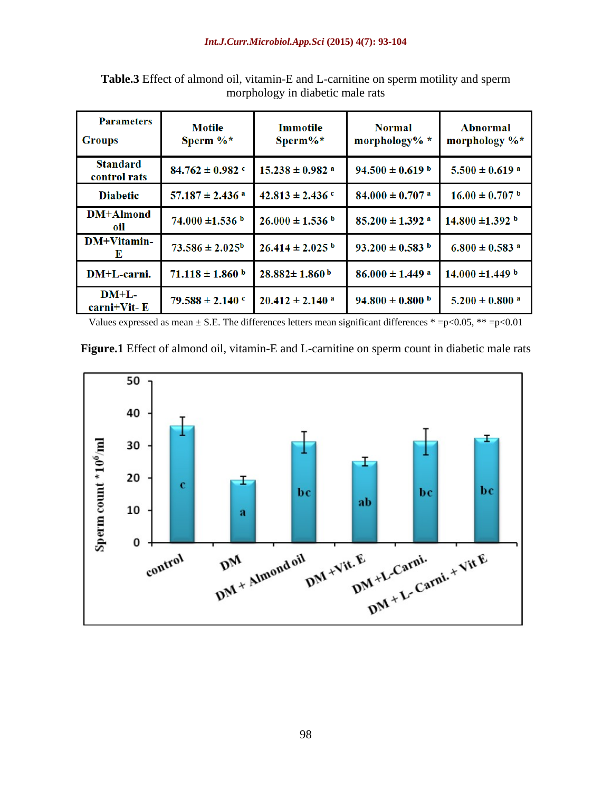| <b>Parameters</b><br><b>Groups</b> | <b>Motile</b><br>Sperm $\%^*$   | <b>Immotile</b><br>$Sperm\%*$   | <b>Normal</b><br>morphology% *  | Abnormal<br>morphology %*      |
|------------------------------------|---------------------------------|---------------------------------|---------------------------------|--------------------------------|
| <b>Standard</b><br>control rats    | $84.762 \pm 0.982$              | $15.238 \pm 0.982$ <sup>a</sup> | $94.500 \pm 0.619$ b            | $5.500 \pm 0.619$ <sup>a</sup> |
| <b>Diabetic</b>                    | $57.187 \pm 2.436$ <sup>a</sup> | $42.813 \pm 2.436$ c            | $84.000 \pm 0.707$ <sup>a</sup> | $16.00 \pm 0.707$ b            |
| DM+Almond<br>oil                   | $74.000 \pm 1.536$ b            | $26.000 \pm 1.536$ b            | $85.200 \pm 1.392$ <sup>a</sup> | $14.800 \pm 1.392$ b           |
| DM+Vitamin-<br>Е                   | $73.586 \pm 2.025^{\rm b}$      | $26.414 \pm 2.025$ b            | $93.200 \pm 0.583$ b            | $6.800 \pm 0.583$ <sup>a</sup> |
| DM+L-carni.                        | $71.118 \pm 1.860$ b            | $28.882 \pm 1.860$ <sup>b</sup> | $86.000 \pm 1.449$ <sup>a</sup> | $14.000 \pm 1.449$ b           |
| $DM+L-$<br>carni+Vit-E             | $79.588 \pm 2.140$ c            | $20.412 \pm 2.140$ <sup>a</sup> | $94.800 \pm 0.800$ b            | $5.200 \pm 0.800$ <sup>a</sup> |

**Table.3** Effect of almond oil, vitamin-E and L-carnitine on sperm motility and sperm morphology in diabetic male rats

Values expressed as mean  $\pm$  S.E. The differences letters mean significant differences \* =p<0.05, \*\* =p<0.01

**Figure.1** Effect of almond oil, vitamin-E and L-carnitine on sperm count in diabetic male rats

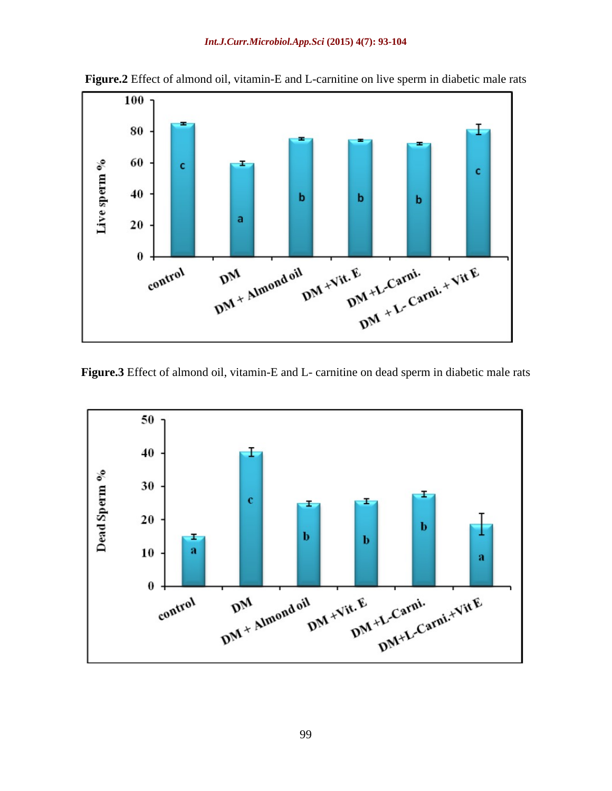

**Figure.2** Effect of almond oil, vitamin-E and L-carnitine on live sperm in diabetic male rats

**Figure.3** Effect of almond oil, vitamin-E and L- carnitine on dead sperm in diabetic male rats

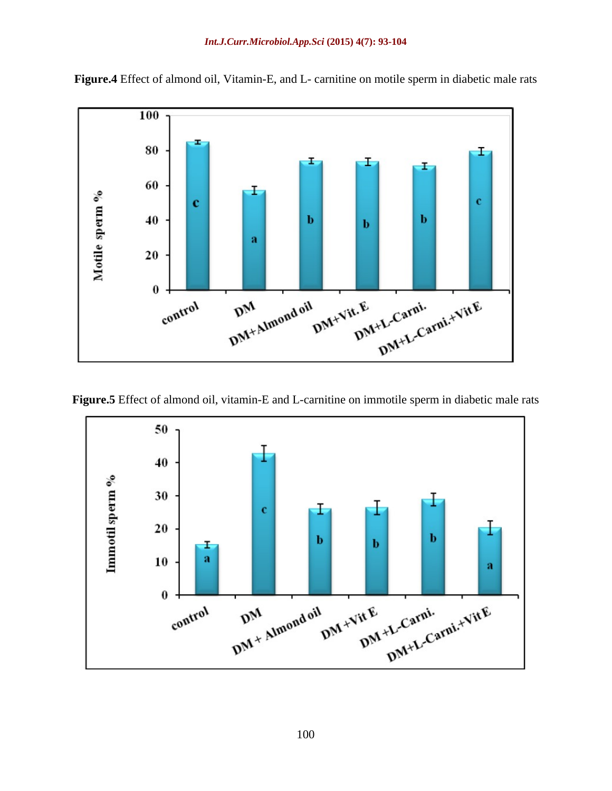

**Figure.4** Effect of almond oil, Vitamin-E, and L- carnitine on motile sperm in diabetic male rats

**Figure.5** Effect of almond oil, vitamin-E and L-carnitine on immotile sperm in diabetic male rats

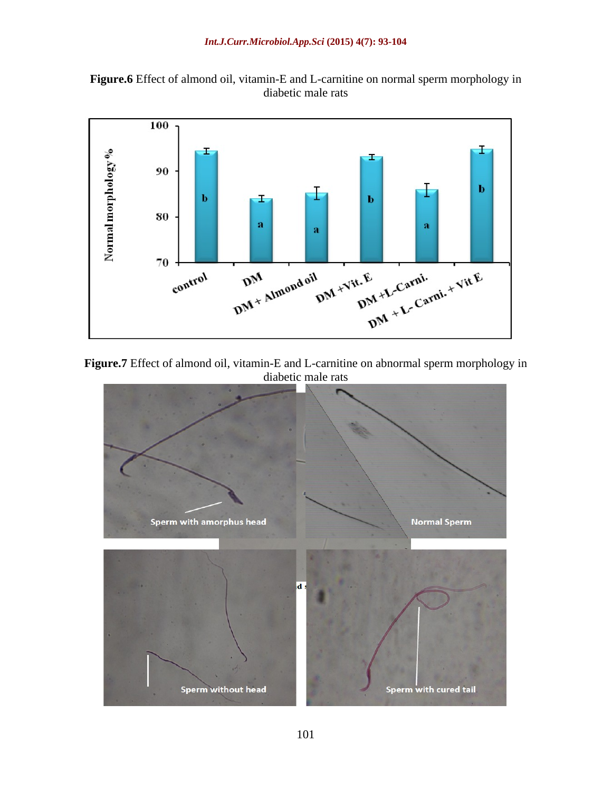



**Figure.7** Effect of almond oil, vitamin-E and L-carnitine on abnormal sperm morphology in diabetic male rats

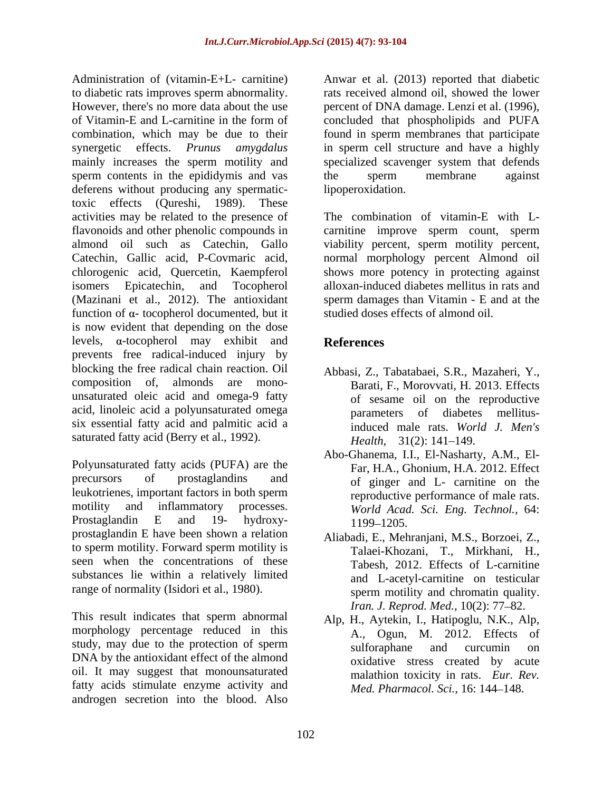Administration of (vitamin-E+L- carnitine) Anwar et al. (2013) reported that diabetic to diabetic rats improves sperm abnormality. However, there's no more data about the use percent of DNA damage. Lenzi et al. (1996), of Vitamin-E and L-carnitine in the form of concluded that phospholipids and PUFA combination, which may be due to their found in sperm membranes that participate synergetic effects. *Prunus amygdalus* in sperm cell structure and have a highly mainly increases the sperm motility and specialized scavenger system that defends sperm contents in the epididymis and vas the sperm membrane against deferens without producing any spermatictoxic effects (Qureshi, 1989). These activities may be related to the presence of flavonoids and other phenolic compounds in carnitine improve sperm count, sperm almond oil such as Catechin, Gallo viability percent, sperm motility percent, Catechin, Gallic acid, P-Covmaric acid, normal morphology percent Almond oil chlorogenic acid, Quercetin, Kaempferol shows more potency in protecting against isomers Epicatechin, and Tocopherol alloxan-induced diabetes mellitus in rats and (Mazinani et al., 2012). The antioxidant sperm damages than Vitamin - E and at the function of  $\alpha$ - tocopherol documented, but it is now evident that depending on the dose levels,  $\alpha$ -tocopherol may exhibit and **References** prevents free radical-induced injury by blocking the free radical chain reaction. Oil composition of, almonds are mono- Barati, F., Morovvati, H. 2013. Effects unsaturated oleic acid and omega-9 fatty acid, linoleic acid a polyunsaturated omega six essential fatty acid and palmitic acid a saturated fatty acid (Berry et al., 1992). *Health*, 31(2): 141-149.

Polyunsaturated fatty acids (PUFA) are the precursors of prostaglandins and of ginger and L- carnitine on the leukotrienes, important factors in both sperm motility and inflammatory processes. *World Acad. Sci. Eng. Technol.,* 64: Prostaglandin E and 19- hydroxy-<br>1199–1205 prostaglandin E have been shown a relation to sperm motility. Forward sperm motility is seen when the concentrations of these substances lie within a relatively limited range of normality (Isidori et al., 1980).

This result indicates that sperm abnormal morphology percentage reduced in this study, may due to the protection of sperm sulforaphane and curcumin on DNA by the antioxidant effect of the almond oil. It may suggest that monounsaturated fatty acids stimulate enzyme activity and androgen secretion into the blood. Also

rats received almond oil, showed the lower the sperm membrane against lipoperoxidation.

The combination of vitamin-E with L studied doses effects of almond oil.

# **References**

- Abbasi, Z., Tabatabaei, S.R., Mazaheri, Y., of sesame oil on the reproductive parameters of diabetes mellitusinduced male rats. *World J. Men's Health,* 31(2): 141–149.
- Abo-Ghanema, I.I., El-Nasharty, A.M., El- Far, H.A., Ghonium, H.A. 2012. Effect reproductive performance of male rats. 1199–1205.
- Aliabadi, E., Mehranjani, M.S., Borzoei, Z., Talaei-Khozani, T., Mirkhani, H., Tabesh, 2012. Effects of L-carnitine and L-acetyl-carnitine on testicular sperm motility and chromatin quality. *Iran. J. Reprod. Med.,* 10(2): 77-82.
- Alp, H., Aytekin, I., Hatipoglu, N.K., Alp, A., Ogun, M. 2012. Effects of sulforaphane and curcumin on oxidative stress created by acute malathion toxicity in rats. *Eur. Rev. Med. Pharmacol. Sci., 16: 144-148.*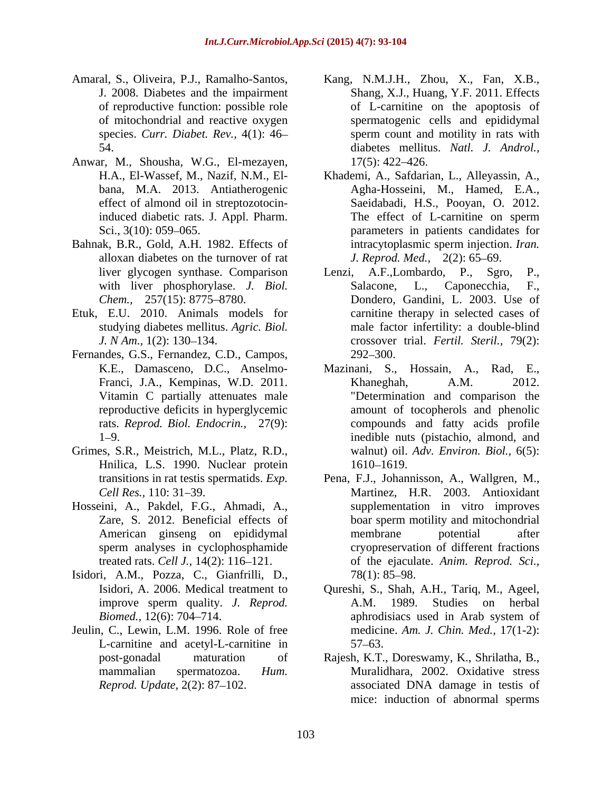- 
- Anwar, M., Shousha, W.G., El-mezayen, bana, M.A. 2013. Antiatherogenic
- Bahnak, B.R., Gold, A.H. 1982. Effects of intracytoplasmic sperm injection. Iran. alloxan diabetes on the turnover of rat
- Etuk, E.U. 2010. Animals models for
- Fernandes, G.S., Fernandez, C.D., Campos, 292–300.<br>K.E., Damasceno, D.C., Anselmo- Mazinani, S.,
- Grimes, S.R., Meistrich, M.L., Platz, R.D., Hnilica, L.S. 1990. Nuclear protein 1610–1619.
- Hosseini, A., Pakdel, F.G., Ahmadi, A., Zare, S. 2012. Beneficial effects of sperm analyses in cyclophosphamide
- Isidori, A.M., Pozza, C., Gianfrilli, D., improve sperm quality. *J. Reprod.*
- Jeulin, C., Lewin, L.M. 1996. Role of free L-carnitine and acetyl-L-carnitine in 57–63.
- Amaral, S., Oliveira, P.J., Ramalho-Santos, Kang, N.M.J.H., Zhou, X., Fan, X.B., J. 2008. Diabetes and the impairment Shang, X.J., Huang, Y.F. 2011. Effects of reproductive function: possible role of L-carnitine on the apoptosis of of mitochondrial and reactive oxygen spermatogenic cells and epididymal species. *Curr. Diabet. Rev.,* 4(1): 46 54. diabetes mellitus. *Natl. J. Androl.,* sperm count and motility in rats with  $17(5)$ : 422–426.
	- H.A., El-Wassef, M., Nazif, N.M., El- Khademi, A., Safdarian, L., Alleyassin, A., effect of almond oil in streptozotocin-Saeidabadi, H.S., Pooyan, O. 2012. induced diabetic rats. J. Appl. Pharm. The effect of L-carnitine on sperm Sci., 3(10): 059–065. The parameters in patients candidates for Agha-Hosseini, M., Hamed, E.A., The effect of L-carnitine on sperm intracytoplasmic sperm injection. *Iran. J. Reprod. Med.,* 2(2): 65–69.
	- liver glycogen synthase. Comparison Lenzi, A.F.,Lombardo, P., Sgro, P., with liver phosphorylase. *J. Biol.* Salacone, L., Caponecchia, F., *Chem.,* 257(15): 8775–8780. Dondero, Gandini, L. 2003. Use of studying diabetes mellitus. *Agric. Biol.* male factor infertility: a double-blind *J. N Am.,* 1(2): 130 134. crossover trial. *Fertil. Steril.,* 79(2): Lenzi, A.F.,Lombardo, P., Sgro, Salacone, L., Caponecchia, F., carnitine therapy in selected cases of  $292 - 300.$
	- K.E., Damasceno, D.C., Anselmo- Mazinani, S., Hossain, A., Rad, E., Franci, J.A., Kempinas, W.D. 2011. Vitamin C partially attenuates male "Determination and comparison the reproductive deficits in hyperglycemic amount of tocopherols and phenolic rats. *Reprod. Biol. Endocrin.,* 27(9): compounds and fatty acids profile 1 9. inedible nuts (pistachio, almond, and Khaneghah, A.M. 2012. walnut) oil. *Adv. Environ. Biol.,* 6(5): 1610–1619.
	- transitions in rat testis spermatids. *Exp.*  Pena, F.J., Johannisson, A., Wallgren, M., Cell Res., 110: 31–39. **Martinez**, H.R. 2003. Antioxidant American ginseng on epididymal membrane potential after treated rats. *Cell J.,* 14(2): 116 121. of the ejaculate. *Anim. Reprod. Sci.,* supplementation in vitro improves boar sperm motility and mitochondrial membrane potential after cryopreservation of different fractions  $78(1)$ : 85–98.
	- Isidori, A. 2006. Medical treatment to Qureshi, S., Shah, A.H., Tariq, M., Ageel, *Biomed.,* 12(6): 704–714. aphrodisiacs used in Arab system of A.M. 1989. Studies on herbal aphrodisiacs used in Arab system of medicine. *Am. J.Chin. Med.,* 17(1-2):  $57 - 63$ .
	- post-gonadal maturation of Rajesh, K.T., Doreswamy, K., Shrilatha, B., mammalian spermatozoa. *Hum.*  Muralidhara, 2002. Oxidative stress *Reprod. Update,* 2(2): 87–102. **associated DNA** damage in testis of mice: induction of abnormal sperms